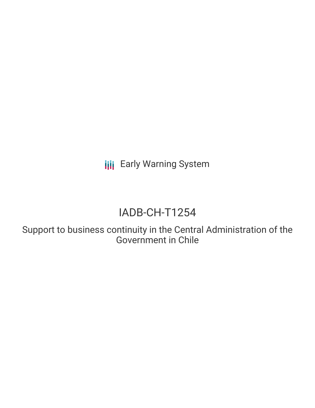**III** Early Warning System

# IADB-CH-T1254

Support to business continuity in the Central Administration of the Government in Chile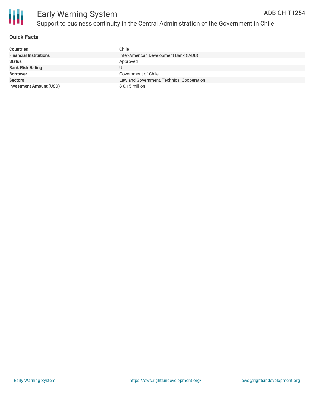

### **Quick Facts**

| <b>Countries</b>               | Chile                                     |
|--------------------------------|-------------------------------------------|
| <b>Financial Institutions</b>  | Inter-American Development Bank (IADB)    |
| <b>Status</b>                  | Approved                                  |
| <b>Bank Risk Rating</b>        |                                           |
| <b>Borrower</b>                | Government of Chile                       |
| <b>Sectors</b>                 | Law and Government, Technical Cooperation |
| <b>Investment Amount (USD)</b> | $$0.15$ million                           |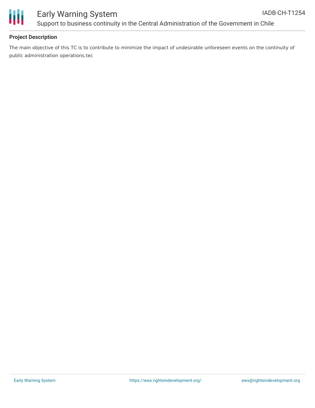

# Early Warning System Support to business continuity in the Central Administration of the Government in Chile

## **Project Description**

The main objective of this TC is to contribute to minimize the impact of undesirable unforeseen events on the continuity of public administration operations.tec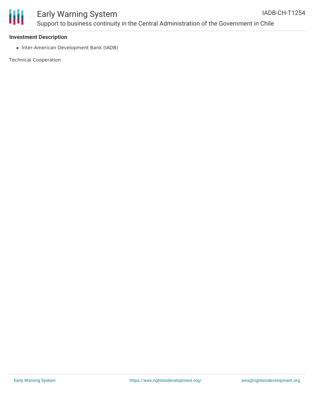

#### **Investment Description**

• Inter-American Development Bank (IADB)

Technical Cooperation